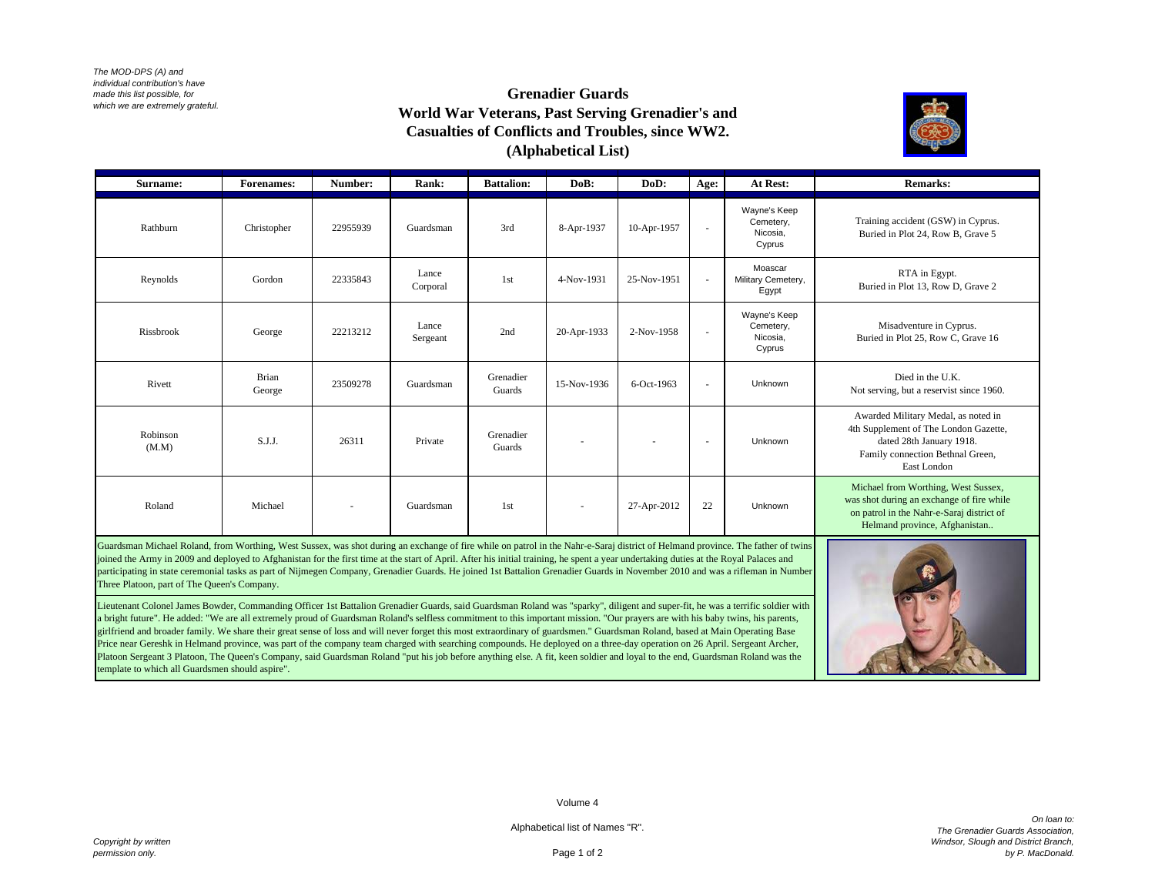*The MOD-DPS (A) and individual contribution's have made this list possible, for which we are extremely grateful.*

## **Grenadier Guards World War Veterans, Past Serving Grenadier's and Casualties of Conflicts and Troubles, since WW2. (Alphabetical List)**



| Surname:          | <b>Forenames:</b> | Number:  | Rank:             | <b>Battalion:</b>   | DoB:                     | DoD:        | Age:                     | At Rest:                                        | <b>Remarks:</b>                                                                                                                                                |
|-------------------|-------------------|----------|-------------------|---------------------|--------------------------|-------------|--------------------------|-------------------------------------------------|----------------------------------------------------------------------------------------------------------------------------------------------------------------|
| Rathburn          | Christopher       | 22955939 | Guardsman         | 3rd                 | 8-Apr-1937               | 10-Apr-1957 | $\sim$                   | Wayne's Keep<br>Cemetery,<br>Nicosia.<br>Cyprus | Training accident (GSW) in Cyprus.<br>Buried in Plot 24, Row B, Grave 5                                                                                        |
| Reynolds          | Gordon            | 22335843 | Lance<br>Corporal | 1 <sub>st</sub>     | 4-Nov-1931               | 25-Nov-1951 | $\sim$                   | Moascar<br>Military Cemetery,<br>Egypt          | RTA in Egypt.<br>Buried in Plot 13, Row D, Grave 2                                                                                                             |
| Rissbrook         | George            | 22213212 | Lance<br>Sergeant | 2nd                 | 20-Apr-1933              | 2-Nov-1958  | $\sim$                   | Wayne's Keep<br>Cemetery,<br>Nicosia.<br>Cyprus | Misadventure in Cyprus.<br>Buried in Plot 25, Row C, Grave 16                                                                                                  |
| Rivett            | Brian<br>George   | 23509278 | Guardsman         | Grenadier<br>Guards | 15-Nov-1936              | 6-Oct-1963  | $\sim$                   | Unknown                                         | Died in the U.K.<br>Not serving, but a reservist since 1960.                                                                                                   |
| Robinson<br>(M.M) | S.J.J.            | 26311    | Private           | Grenadier<br>Guards | $\overline{\phantom{a}}$ | ٠           | $\overline{\phantom{a}}$ | Unknown                                         | Awarded Military Medal, as noted in<br>4th Supplement of The London Gazette,<br>dated 28th January 1918.<br>Family connection Bethnal Green,<br>East London    |
| Roland            | Michael           |          | Guardsman         | 1 <sub>st</sub>     | $\sim$                   | 27-Apr-2012 | 22                       | Unknown                                         | Michael from Worthing, West Sussex,<br>was shot during an exchange of fire while<br>on patrol in the Nahr-e-Saraj district of<br>Helmand province, Afghanistan |

Guardsman Michael Roland, from Worthing, West Sussex, was shot during an exchange of fire while on patrol in the Nahr-e-Saraj district of Helmand province. The father of twins joined the Army in 2009 and deployed to Afghanistan for the first time at the start of April. After his initial training, he spent a year undertaking duties at the Royal Palaces and participating in state ceremonial tasks as part of Nijmegen Company, Grenadier Guards. He joined 1st Battalion Grenadier Guards in November 2010 and was a rifleman in Number Three Platoon, part of The Queen's Company.

Lieutenant Colonel James Bowder, Commanding Officer 1st Battalion Grenadier Guards, said Guardsman Roland was "sparky", diligent and super-fit, he was a terrific soldier with a bright future". He added: "We are all extremely proud of Guardsman Roland's selfless commitment to this important mission. "Our prayers are with his baby twins, his parents, girlfriend and broader family. We share their great sense of loss and will never forget this most extraordinary of guardsmen." Guardsman Roland, based at Main Operating Base Price near Gereshk in Helmand province, was part of the company team charged with searching compounds. He deployed on a three-day operation on 26 April. Sergeant Archer, Platoon Sergeant 3 Platoon, The Queen's Company, said Guardsman Roland "put his job before anything else. A fit, keen soldier and loyal to the end, Guardsman Roland was the template to which all Guardsmen should aspire".